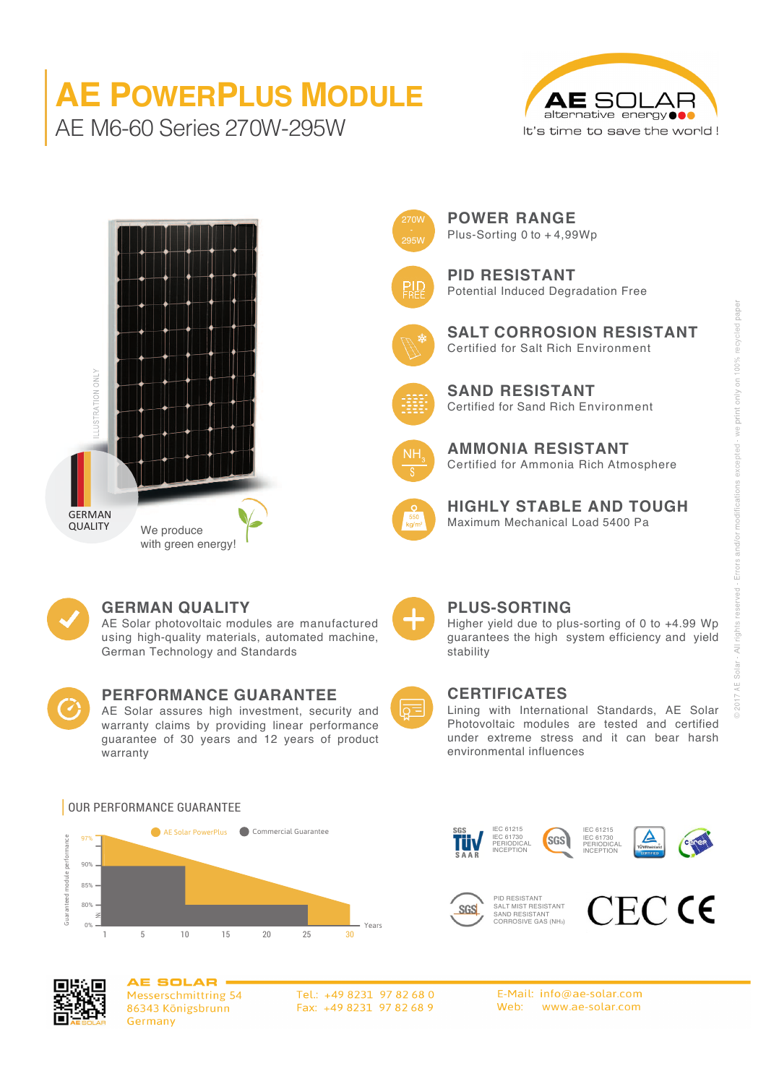# **AE POWERPLUS MODULE** AE M6-60 Series 270W-295W







**POWER RANGE** Plus-Sorting 0 to + 4,99Wp



**PID RESISTANT** Potential Induced Degradation Free



**SALT CORROSION RESISTANT** Certified for Salt Rich Environment



**SAND RESISTANT** Certified for Sand Rich Environment



**AMMONIA RESISTANT** Certified for Ammonia Rich Atmosphere



**HIGHLY STABLE AND TOUGH** We produce  $\sqrt{\frac{1}{2}}$  Maximum Mechanical Load 5400 Pa



#### **GERMAN QUALITY**

AE Solar photovoltaic modules are manufactured using high-quality materials, automated machine, German Technology and Standards



### **PERFORMANCE GUARANTEE**

AE Solar assures high investment, security and warranty claims by providing linear performance guarantee of 30 years and 12 years of product warranty



#### **PLUS-SORTING**

Higher yield due to plus-sorting of 0 to +4.99 Wp guarantees the high system efficiency and yield stability



#### **CERTIFICATES**

IEC 61215 IEC 61730 PERIODICAL INCEPTION

PID RESISTANT SALT MIST RESISTANT SAND RESISTANT CORROSIVE GAS (NH3)

**SGS** 

Lining with International Standards, AE Solar Photovoltaic modules are tested and certified under extreme stress and it can bear harsh environmental influences

IEC 61215 IEC 61730 PERIODICAL INCEPTION

**CECCE** 



20 25 30

#### OUR PERFORMANCE GUARANTEE



90%

85%

Guaranteed module performance

inteed module perfo

80% 0%

Z Z

> **AE SOLAR** Messerschmittring 54 86343 Königsbrunn Germany

1 5 10 15

Tel.: +49 8231 97 82 68 0 Fax: +49 8231 97 82 68 9

Years

E-Mail: info@ae-solar.com Web: www.ae-solar.com

**SGS**